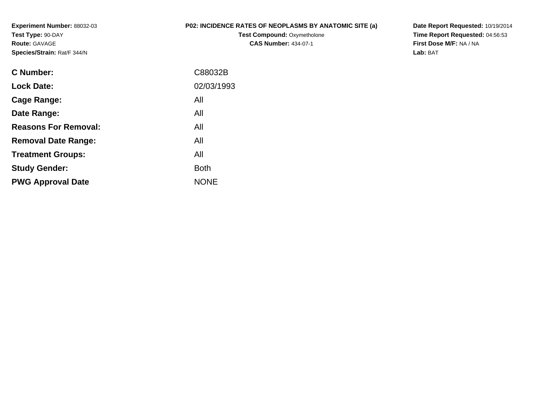**Experiment Number:** 88032-03**Test Type:** 90-DAY**Route:** GAVAGE**Species/Strain:** Rat/F 344/N

## **P02: INCIDENCE RATES OF NEOPLASMS BY ANATOMIC SITE (a)**

**Test Compound: Oxymetholone CAS Number:** 434-07-1

**Date Report Requested:** 10/19/2014 **Time Report Requested:** 04:56:53**First Dose M/F:** NA / NA**Lab:** BAT

| C Number:                   | C88032B     |
|-----------------------------|-------------|
| <b>Lock Date:</b>           | 02/03/1993  |
| Cage Range:                 | All         |
| Date Range:                 | All         |
| <b>Reasons For Removal:</b> | All         |
| <b>Removal Date Range:</b>  | All         |
| <b>Treatment Groups:</b>    | All         |
| <b>Study Gender:</b>        | <b>Both</b> |
| <b>PWG Approval Date</b>    | <b>NONE</b> |
|                             |             |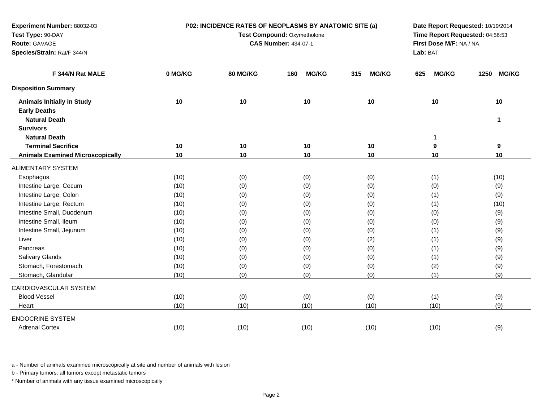| Experiment Number: 88032-03             |         | P02: INCIDENCE RATES OF NEOPLASMS BY ANATOMIC SITE (a) | Date Report Requested: 10/19/2014 |                     |                     |                      |
|-----------------------------------------|---------|--------------------------------------------------------|-----------------------------------|---------------------|---------------------|----------------------|
| Test Type: 90-DAY                       |         | Test Compound: Oxymetholone                            | Time Report Requested: 04:56:53   |                     |                     |                      |
| Route: GAVAGE                           |         | <b>CAS Number: 434-07-1</b>                            | First Dose M/F: NA / NA           |                     |                     |                      |
| Species/Strain: Rat/F 344/N             |         |                                                        | Lab: BAT                          |                     |                     |                      |
| F 344/N Rat MALE                        | 0 MG/KG | 80 MG/KG                                               | <b>MG/KG</b><br>160               | <b>MG/KG</b><br>315 | <b>MG/KG</b><br>625 | 1250<br><b>MG/KG</b> |
| <b>Disposition Summary</b>              |         |                                                        |                                   |                     |                     |                      |
| <b>Animals Initially In Study</b>       | 10      | 10                                                     | 10                                | 10                  | 10                  | 10                   |
| <b>Early Deaths</b>                     |         |                                                        |                                   |                     |                     |                      |
| <b>Natural Death</b>                    |         |                                                        |                                   |                     |                     | 1                    |
| <b>Survivors</b>                        |         |                                                        |                                   |                     |                     |                      |
| <b>Natural Death</b>                    |         |                                                        |                                   |                     | 1                   |                      |
| <b>Terminal Sacrifice</b>               | 10      | 10                                                     | 10                                | 10                  | 9                   | 9                    |
| <b>Animals Examined Microscopically</b> | 10      | 10                                                     | 10                                | 10                  | 10                  | 10                   |
| <b>ALIMENTARY SYSTEM</b>                |         |                                                        |                                   |                     |                     |                      |
| Esophagus                               | (10)    | (0)                                                    | (0)                               | (0)                 | (1)                 | (10)                 |
| Intestine Large, Cecum                  | (10)    | (0)                                                    | (0)                               | (0)                 | (0)                 | (9)                  |
| Intestine Large, Colon                  | (10)    | (0)                                                    | (0)                               | (0)                 | (1)                 | (9)                  |
| Intestine Large, Rectum                 | (10)    | (0)                                                    | (0)                               | (0)                 | (1)                 | (10)                 |
| Intestine Small, Duodenum               | (10)    | (0)                                                    | (0)                               | (0)                 | (0)                 | (9)                  |
| Intestine Small, Ileum                  | (10)    | (0)                                                    | (0)                               | (0)                 | (0)                 | (9)                  |
| Intestine Small, Jejunum                | (10)    | (0)                                                    | (0)                               | (0)                 | (1)                 | (9)                  |
| Liver                                   | (10)    | (0)                                                    | (0)                               | (2)                 | (1)                 | (9)                  |
| Pancreas                                | (10)    | (0)                                                    | (0)                               | (0)                 | (1)                 | (9)                  |
| <b>Salivary Glands</b>                  | (10)    | (0)                                                    | (0)                               | (0)                 | (1)                 | (9)                  |
| Stomach, Forestomach                    | (10)    | (0)                                                    | (0)                               | (0)                 | (2)                 | (9)                  |
| Stomach, Glandular                      | (10)    | (0)                                                    | (0)                               | (0)                 | (1)                 | (9)                  |
| CARDIOVASCULAR SYSTEM                   |         |                                                        |                                   |                     |                     |                      |
| <b>Blood Vessel</b>                     | (10)    | (0)                                                    | (0)                               | (0)                 | (1)                 | (9)                  |
| Heart                                   | (10)    | (10)                                                   | (10)                              | (10)                | (10)                | (9)                  |
| <b>ENDOCRINE SYSTEM</b>                 |         |                                                        |                                   |                     |                     |                      |
| <b>Adrenal Cortex</b>                   | (10)    | (10)                                                   | (10)                              | (10)                | (10)                | (9)                  |

b - Primary tumors: all tumors except metastatic tumors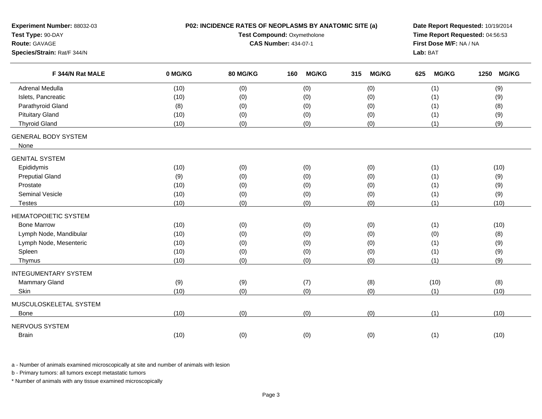| Experiment Number: 88032-03<br>Test Type: 90-DAY<br>Route: GAVAGE<br>Species/Strain: Rat/F 344/N | P02: INCIDENCE RATES OF NEOPLASMS BY ANATOMIC SITE (a)<br>Test Compound: Oxymetholone<br><b>CAS Number: 434-07-1</b> |          |                     |     |              |     | Date Report Requested: 10/19/2014<br>Time Report Requested: 04:56:53<br>First Dose M/F: NA / NA<br>Lab: BAT |      |              |
|--------------------------------------------------------------------------------------------------|----------------------------------------------------------------------------------------------------------------------|----------|---------------------|-----|--------------|-----|-------------------------------------------------------------------------------------------------------------|------|--------------|
| F 344/N Rat MALE                                                                                 | 0 MG/KG                                                                                                              | 80 MG/KG | 160<br><b>MG/KG</b> | 315 | <b>MG/KG</b> | 625 | <b>MG/KG</b>                                                                                                | 1250 | <b>MG/KG</b> |
| <b>Adrenal Medulla</b>                                                                           | (10)                                                                                                                 | (0)      | (0)                 |     | (0)          |     | (1)                                                                                                         |      | (9)          |
| Islets, Pancreatic                                                                               | (10)                                                                                                                 | (0)      | (0)                 |     | (0)          |     | (1)                                                                                                         |      | (9)          |
| Parathyroid Gland                                                                                | (8)                                                                                                                  | (0)      | (0)                 |     | (0)          |     | (1)                                                                                                         |      | (8)          |
| <b>Pituitary Gland</b>                                                                           | (10)                                                                                                                 | (0)      | (0)                 |     | (0)          |     | (1)                                                                                                         |      | (9)          |
| <b>Thyroid Gland</b>                                                                             | (10)                                                                                                                 | (0)      | (0)                 |     | (0)          |     | (1)                                                                                                         |      | (9)          |
| <b>GENERAL BODY SYSTEM</b><br>None                                                               |                                                                                                                      |          |                     |     |              |     |                                                                                                             |      |              |
| <b>GENITAL SYSTEM</b>                                                                            |                                                                                                                      |          |                     |     |              |     |                                                                                                             |      |              |
| Epididymis                                                                                       | (10)                                                                                                                 | (0)      | (0)                 |     | (0)          |     | (1)                                                                                                         |      | (10)         |
| <b>Preputial Gland</b>                                                                           | (9)                                                                                                                  | (0)      | (0)                 |     | (0)          |     | (1)                                                                                                         |      | (9)          |
| Prostate                                                                                         | (10)                                                                                                                 | (0)      | (0)                 |     | (0)          |     | (1)                                                                                                         |      | (9)          |
| Seminal Vesicle                                                                                  | (10)                                                                                                                 | (0)      | (0)                 |     | (0)          |     | (1)                                                                                                         |      | (9)          |
| <b>Testes</b>                                                                                    | (10)                                                                                                                 | (0)      | (0)                 |     | (0)          |     | (1)                                                                                                         |      | (10)         |
| <b>HEMATOPOIETIC SYSTEM</b>                                                                      |                                                                                                                      |          |                     |     |              |     |                                                                                                             |      |              |
| <b>Bone Marrow</b>                                                                               | (10)                                                                                                                 | (0)      | (0)                 |     | (0)          |     | (1)                                                                                                         |      | (10)         |
| Lymph Node, Mandibular                                                                           | (10)                                                                                                                 | (0)      | (0)                 |     | (0)          |     | (0)                                                                                                         |      | (8)          |
| Lymph Node, Mesenteric                                                                           | (10)                                                                                                                 | (0)      | (0)                 |     | (0)          |     | (1)                                                                                                         |      | (9)          |
| Spleen                                                                                           | (10)                                                                                                                 | (0)      | (0)                 |     | (0)          |     | (1)                                                                                                         |      | (9)          |
| Thymus                                                                                           | (10)                                                                                                                 | (0)      | (0)                 |     | (0)          |     | (1)                                                                                                         |      | (9)          |
| <b>INTEGUMENTARY SYSTEM</b>                                                                      |                                                                                                                      |          |                     |     |              |     |                                                                                                             |      |              |
| Mammary Gland                                                                                    | (9)                                                                                                                  | (9)      | (7)                 |     | (8)          |     | (10)                                                                                                        |      | (8)          |
| Skin                                                                                             | (10)                                                                                                                 | (0)      | (0)                 |     | (0)          |     | (1)                                                                                                         |      | (10)         |
| MUSCULOSKELETAL SYSTEM                                                                           |                                                                                                                      |          |                     |     |              |     |                                                                                                             |      |              |
| Bone                                                                                             | (10)                                                                                                                 | (0)      | (0)                 |     | (0)          |     | (1)                                                                                                         |      | (10)         |
| <b>NERVOUS SYSTEM</b>                                                                            |                                                                                                                      |          |                     |     |              |     |                                                                                                             |      |              |
| <b>Brain</b>                                                                                     | (10)                                                                                                                 | (0)      | (0)                 |     | (0)          |     | (1)                                                                                                         |      | (10)         |

b - Primary tumors: all tumors except metastatic tumors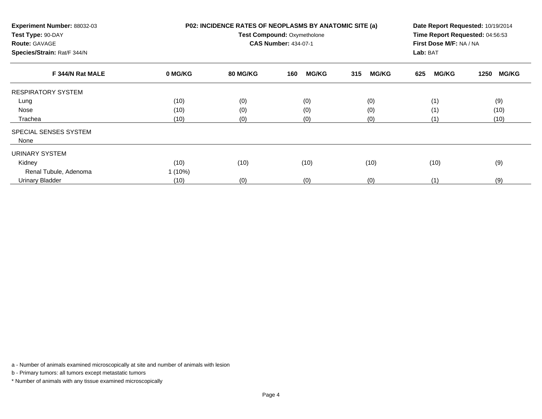| Experiment Number: 88032-03<br>Test Type: 90-DAY<br><b>Route: GAVAGE</b><br>Species/Strain: Rat/F 344/N |           | P02: INCIDENCE RATES OF NEOPLASMS BY ANATOMIC SITE (a)<br><b>Test Compound: Oxymetholone</b><br><b>CAS Number: 434-07-1</b> | Date Report Requested: 10/19/2014<br>Time Report Requested: 04:56:53<br>First Dose M/F: NA / NA<br>Lab: BAT |                     |                     |                      |
|---------------------------------------------------------------------------------------------------------|-----------|-----------------------------------------------------------------------------------------------------------------------------|-------------------------------------------------------------------------------------------------------------|---------------------|---------------------|----------------------|
| F 344/N Rat MALE                                                                                        | 0 MG/KG   | 80 MG/KG                                                                                                                    | <b>MG/KG</b><br>160                                                                                         | <b>MG/KG</b><br>315 | <b>MG/KG</b><br>625 | <b>MG/KG</b><br>1250 |
| <b>RESPIRATORY SYSTEM</b>                                                                               |           |                                                                                                                             |                                                                                                             |                     |                     |                      |
| Lung                                                                                                    | (10)      | (0)                                                                                                                         | (0)                                                                                                         | (0)                 | (1)                 | (9)                  |
| Nose                                                                                                    | (10)      | (0)                                                                                                                         | (0)                                                                                                         | (0)                 | (1)                 | (10)                 |
| Trachea                                                                                                 | (10)      | (0)                                                                                                                         | (0)                                                                                                         | (0)                 | (1)                 | (10)                 |
| SPECIAL SENSES SYSTEM<br>None                                                                           |           |                                                                                                                             |                                                                                                             |                     |                     |                      |
| URINARY SYSTEM                                                                                          |           |                                                                                                                             |                                                                                                             |                     |                     |                      |
| Kidney                                                                                                  | (10)      | (10)                                                                                                                        | (10)                                                                                                        | (10)                | (10)                | (9)                  |
| Renal Tubule, Adenoma                                                                                   | $1(10\%)$ |                                                                                                                             |                                                                                                             |                     |                     |                      |
| <b>Urinary Bladder</b>                                                                                  | (10)      | (0)                                                                                                                         | (0)                                                                                                         | (0)                 | (1)                 | (9)                  |

b - Primary tumors: all tumors except metastatic tumors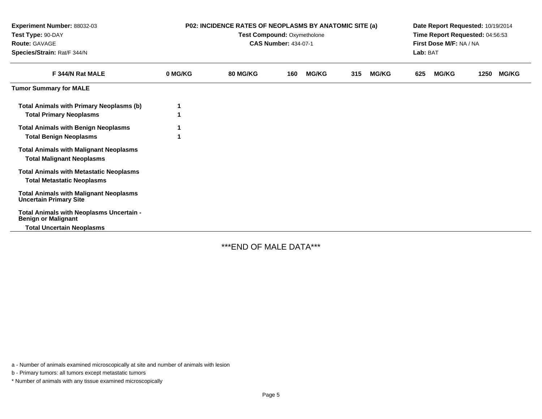| Experiment Number: 88032-03<br>Test Type: 90-DAY<br><b>Route: GAVAGE</b><br>Species/Strain: Rat/F 344/N    | <b>P02: INCIDENCE RATES OF NEOPLASMS BY ANATOMIC SITE (a)</b><br>Test Compound: Oxymetholone<br><b>CAS Number: 434-07-1</b> |                 |     |              |     | Date Report Requested: 10/19/2014<br>Time Report Requested: 04:56:53<br>First Dose M/F: NA / NA<br>Lab: BAT |     |              |      |              |
|------------------------------------------------------------------------------------------------------------|-----------------------------------------------------------------------------------------------------------------------------|-----------------|-----|--------------|-----|-------------------------------------------------------------------------------------------------------------|-----|--------------|------|--------------|
| F 344/N Rat MALE                                                                                           | 0 MG/KG                                                                                                                     | <b>80 MG/KG</b> | 160 | <b>MG/KG</b> | 315 | <b>MG/KG</b>                                                                                                | 625 | <b>MG/KG</b> | 1250 | <b>MG/KG</b> |
| <b>Tumor Summary for MALE</b>                                                                              |                                                                                                                             |                 |     |              |     |                                                                                                             |     |              |      |              |
| <b>Total Animals with Primary Neoplasms (b)</b><br><b>Total Primary Neoplasms</b>                          |                                                                                                                             |                 |     |              |     |                                                                                                             |     |              |      |              |
| <b>Total Animals with Benign Neoplasms</b><br><b>Total Benign Neoplasms</b>                                |                                                                                                                             |                 |     |              |     |                                                                                                             |     |              |      |              |
| <b>Total Animals with Malignant Neoplasms</b><br><b>Total Malignant Neoplasms</b>                          |                                                                                                                             |                 |     |              |     |                                                                                                             |     |              |      |              |
| <b>Total Animals with Metastatic Neoplasms</b><br><b>Total Metastatic Neoplasms</b>                        |                                                                                                                             |                 |     |              |     |                                                                                                             |     |              |      |              |
| <b>Total Animals with Malignant Neoplasms</b><br><b>Uncertain Primary Site</b>                             |                                                                                                                             |                 |     |              |     |                                                                                                             |     |              |      |              |
| Total Animals with Neoplasms Uncertain -<br><b>Benign or Malignant</b><br><b>Total Uncertain Neoplasms</b> |                                                                                                                             |                 |     |              |     |                                                                                                             |     |              |      |              |

\*\*\*END OF MALE DATA\*\*\*

a - Number of animals examined microscopically at site and number of animals with lesion

b - Primary tumors: all tumors except metastatic tumors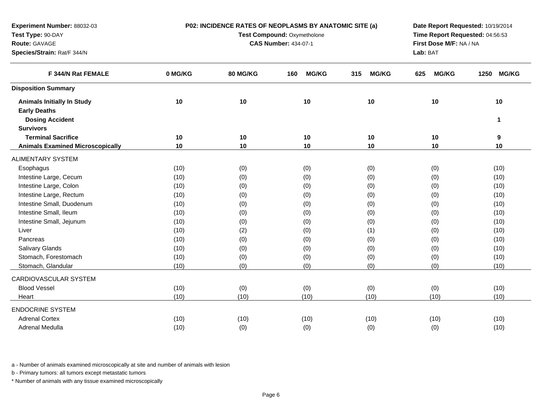| Test Type: 90-DAY<br>Test Compound: Oxymetholone<br>Time Report Requested: 04:56:53<br><b>CAS Number: 434-07-1</b><br>First Dose M/F: NA / NA<br>Route: GAVAGE<br>Species/Strain: Rat/F 344/N<br>Lab: BAT<br>F 344/N Rat FEMALE<br>0 MG/KG<br><b>80 MG/KG</b><br><b>MG/KG</b><br><b>MG/KG</b><br><b>MG/KG</b><br>1250<br><b>MG/KG</b><br>160<br>315<br>625<br><b>Disposition Summary</b><br>10<br>10<br>10<br>10<br>10<br>10<br><b>Animals Initially In Study</b><br><b>Early Deaths</b><br><b>Dosing Accident</b><br>$\mathbf{1}$<br><b>Survivors</b><br><b>Terminal Sacrifice</b><br>10<br>10<br>10<br>10<br>10<br>9<br>10<br>10<br>10<br>10<br>10<br>10<br><b>Animals Examined Microscopically</b><br><b>ALIMENTARY SYSTEM</b><br>(10)<br>(0)<br>(0)<br>(0)<br>(10)<br>Esophagus<br>(0)<br>Intestine Large, Cecum<br>(0)<br>(0)<br>(0)<br>(0)<br>(10)<br>(10)<br>Intestine Large, Colon<br>(0)<br>(10)<br>(0)<br>(0)<br>(0)<br>(10)<br>Intestine Large, Rectum<br>(0)<br>(0)<br>(10)<br>(10)<br>(0)<br>(0)<br>Intestine Small, Duodenum<br>(0)<br>(0)<br>(0)<br>(0)<br>(10)<br>(10)<br>Intestine Small, Ileum<br>(0)<br>(0)<br>(0)<br>(10)<br>(10)<br>(0)<br>Intestine Small, Jejunum<br>(0)<br>(0)<br>(0)<br>(0)<br>(10)<br>(10)<br>(2)<br>Liver<br>(0)<br>(1)<br>(0)<br>(10)<br>(10)<br>(0)<br>(0)<br>(0)<br>Pancreas<br>(10)<br>(0)<br>(10)<br>Salivary Glands<br>(0)<br>(0)<br>(0)<br>(0)<br>(10)<br>(10)<br>Stomach, Forestomach<br>(0)<br>(0)<br>(0)<br>(0)<br>(10)<br>(10)<br>Stomach, Glandular<br>(0)<br>(0)<br>(0)<br>(0)<br>(10)<br>(10)<br>CARDIOVASCULAR SYSTEM<br><b>Blood Vessel</b><br>(10)<br>(0)<br>(0)<br>(0)<br>(0)<br>(10)<br>(10)<br>(10)<br>(10)<br>(10)<br>(10)<br>(10)<br>Heart<br><b>ENDOCRINE SYSTEM</b><br><b>Adrenal Cortex</b><br>(10)<br>(10)<br>(10)<br>(10)<br>(10)<br>(10)<br>Adrenal Medulla<br>(10) | Experiment Number: 88032-03 | P02: INCIDENCE RATES OF NEOPLASMS BY ANATOMIC SITE (a) | Date Report Requested: 10/19/2014 |     |     |      |  |
|--------------------------------------------------------------------------------------------------------------------------------------------------------------------------------------------------------------------------------------------------------------------------------------------------------------------------------------------------------------------------------------------------------------------------------------------------------------------------------------------------------------------------------------------------------------------------------------------------------------------------------------------------------------------------------------------------------------------------------------------------------------------------------------------------------------------------------------------------------------------------------------------------------------------------------------------------------------------------------------------------------------------------------------------------------------------------------------------------------------------------------------------------------------------------------------------------------------------------------------------------------------------------------------------------------------------------------------------------------------------------------------------------------------------------------------------------------------------------------------------------------------------------------------------------------------------------------------------------------------------------------------------------------------------------------------------------------------------------------------------------------------------------------------------------------------------------------------------|-----------------------------|--------------------------------------------------------|-----------------------------------|-----|-----|------|--|
|                                                                                                                                                                                                                                                                                                                                                                                                                                                                                                                                                                                                                                                                                                                                                                                                                                                                                                                                                                                                                                                                                                                                                                                                                                                                                                                                                                                                                                                                                                                                                                                                                                                                                                                                                                                                                                            |                             |                                                        |                                   |     |     |      |  |
|                                                                                                                                                                                                                                                                                                                                                                                                                                                                                                                                                                                                                                                                                                                                                                                                                                                                                                                                                                                                                                                                                                                                                                                                                                                                                                                                                                                                                                                                                                                                                                                                                                                                                                                                                                                                                                            |                             |                                                        |                                   |     |     |      |  |
|                                                                                                                                                                                                                                                                                                                                                                                                                                                                                                                                                                                                                                                                                                                                                                                                                                                                                                                                                                                                                                                                                                                                                                                                                                                                                                                                                                                                                                                                                                                                                                                                                                                                                                                                                                                                                                            |                             |                                                        |                                   |     |     |      |  |
|                                                                                                                                                                                                                                                                                                                                                                                                                                                                                                                                                                                                                                                                                                                                                                                                                                                                                                                                                                                                                                                                                                                                                                                                                                                                                                                                                                                                                                                                                                                                                                                                                                                                                                                                                                                                                                            |                             |                                                        |                                   |     |     |      |  |
|                                                                                                                                                                                                                                                                                                                                                                                                                                                                                                                                                                                                                                                                                                                                                                                                                                                                                                                                                                                                                                                                                                                                                                                                                                                                                                                                                                                                                                                                                                                                                                                                                                                                                                                                                                                                                                            |                             |                                                        |                                   |     |     |      |  |
|                                                                                                                                                                                                                                                                                                                                                                                                                                                                                                                                                                                                                                                                                                                                                                                                                                                                                                                                                                                                                                                                                                                                                                                                                                                                                                                                                                                                                                                                                                                                                                                                                                                                                                                                                                                                                                            |                             |                                                        |                                   |     |     |      |  |
|                                                                                                                                                                                                                                                                                                                                                                                                                                                                                                                                                                                                                                                                                                                                                                                                                                                                                                                                                                                                                                                                                                                                                                                                                                                                                                                                                                                                                                                                                                                                                                                                                                                                                                                                                                                                                                            |                             |                                                        |                                   |     |     |      |  |
|                                                                                                                                                                                                                                                                                                                                                                                                                                                                                                                                                                                                                                                                                                                                                                                                                                                                                                                                                                                                                                                                                                                                                                                                                                                                                                                                                                                                                                                                                                                                                                                                                                                                                                                                                                                                                                            |                             |                                                        |                                   |     |     |      |  |
|                                                                                                                                                                                                                                                                                                                                                                                                                                                                                                                                                                                                                                                                                                                                                                                                                                                                                                                                                                                                                                                                                                                                                                                                                                                                                                                                                                                                                                                                                                                                                                                                                                                                                                                                                                                                                                            |                             |                                                        |                                   |     |     |      |  |
|                                                                                                                                                                                                                                                                                                                                                                                                                                                                                                                                                                                                                                                                                                                                                                                                                                                                                                                                                                                                                                                                                                                                                                                                                                                                                                                                                                                                                                                                                                                                                                                                                                                                                                                                                                                                                                            |                             |                                                        |                                   |     |     |      |  |
|                                                                                                                                                                                                                                                                                                                                                                                                                                                                                                                                                                                                                                                                                                                                                                                                                                                                                                                                                                                                                                                                                                                                                                                                                                                                                                                                                                                                                                                                                                                                                                                                                                                                                                                                                                                                                                            |                             |                                                        |                                   |     |     |      |  |
|                                                                                                                                                                                                                                                                                                                                                                                                                                                                                                                                                                                                                                                                                                                                                                                                                                                                                                                                                                                                                                                                                                                                                                                                                                                                                                                                                                                                                                                                                                                                                                                                                                                                                                                                                                                                                                            |                             |                                                        |                                   |     |     |      |  |
|                                                                                                                                                                                                                                                                                                                                                                                                                                                                                                                                                                                                                                                                                                                                                                                                                                                                                                                                                                                                                                                                                                                                                                                                                                                                                                                                                                                                                                                                                                                                                                                                                                                                                                                                                                                                                                            |                             |                                                        |                                   |     |     |      |  |
|                                                                                                                                                                                                                                                                                                                                                                                                                                                                                                                                                                                                                                                                                                                                                                                                                                                                                                                                                                                                                                                                                                                                                                                                                                                                                                                                                                                                                                                                                                                                                                                                                                                                                                                                                                                                                                            |                             |                                                        |                                   |     |     |      |  |
|                                                                                                                                                                                                                                                                                                                                                                                                                                                                                                                                                                                                                                                                                                                                                                                                                                                                                                                                                                                                                                                                                                                                                                                                                                                                                                                                                                                                                                                                                                                                                                                                                                                                                                                                                                                                                                            |                             |                                                        |                                   |     |     |      |  |
|                                                                                                                                                                                                                                                                                                                                                                                                                                                                                                                                                                                                                                                                                                                                                                                                                                                                                                                                                                                                                                                                                                                                                                                                                                                                                                                                                                                                                                                                                                                                                                                                                                                                                                                                                                                                                                            |                             |                                                        |                                   |     |     |      |  |
|                                                                                                                                                                                                                                                                                                                                                                                                                                                                                                                                                                                                                                                                                                                                                                                                                                                                                                                                                                                                                                                                                                                                                                                                                                                                                                                                                                                                                                                                                                                                                                                                                                                                                                                                                                                                                                            |                             |                                                        |                                   |     |     |      |  |
|                                                                                                                                                                                                                                                                                                                                                                                                                                                                                                                                                                                                                                                                                                                                                                                                                                                                                                                                                                                                                                                                                                                                                                                                                                                                                                                                                                                                                                                                                                                                                                                                                                                                                                                                                                                                                                            |                             |                                                        |                                   |     |     |      |  |
|                                                                                                                                                                                                                                                                                                                                                                                                                                                                                                                                                                                                                                                                                                                                                                                                                                                                                                                                                                                                                                                                                                                                                                                                                                                                                                                                                                                                                                                                                                                                                                                                                                                                                                                                                                                                                                            |                             |                                                        |                                   |     |     |      |  |
|                                                                                                                                                                                                                                                                                                                                                                                                                                                                                                                                                                                                                                                                                                                                                                                                                                                                                                                                                                                                                                                                                                                                                                                                                                                                                                                                                                                                                                                                                                                                                                                                                                                                                                                                                                                                                                            |                             |                                                        |                                   |     |     |      |  |
|                                                                                                                                                                                                                                                                                                                                                                                                                                                                                                                                                                                                                                                                                                                                                                                                                                                                                                                                                                                                                                                                                                                                                                                                                                                                                                                                                                                                                                                                                                                                                                                                                                                                                                                                                                                                                                            |                             |                                                        |                                   |     |     |      |  |
|                                                                                                                                                                                                                                                                                                                                                                                                                                                                                                                                                                                                                                                                                                                                                                                                                                                                                                                                                                                                                                                                                                                                                                                                                                                                                                                                                                                                                                                                                                                                                                                                                                                                                                                                                                                                                                            |                             |                                                        |                                   |     |     |      |  |
|                                                                                                                                                                                                                                                                                                                                                                                                                                                                                                                                                                                                                                                                                                                                                                                                                                                                                                                                                                                                                                                                                                                                                                                                                                                                                                                                                                                                                                                                                                                                                                                                                                                                                                                                                                                                                                            |                             |                                                        |                                   |     |     |      |  |
|                                                                                                                                                                                                                                                                                                                                                                                                                                                                                                                                                                                                                                                                                                                                                                                                                                                                                                                                                                                                                                                                                                                                                                                                                                                                                                                                                                                                                                                                                                                                                                                                                                                                                                                                                                                                                                            |                             |                                                        |                                   |     |     |      |  |
|                                                                                                                                                                                                                                                                                                                                                                                                                                                                                                                                                                                                                                                                                                                                                                                                                                                                                                                                                                                                                                                                                                                                                                                                                                                                                                                                                                                                                                                                                                                                                                                                                                                                                                                                                                                                                                            |                             |                                                        |                                   |     |     |      |  |
|                                                                                                                                                                                                                                                                                                                                                                                                                                                                                                                                                                                                                                                                                                                                                                                                                                                                                                                                                                                                                                                                                                                                                                                                                                                                                                                                                                                                                                                                                                                                                                                                                                                                                                                                                                                                                                            |                             |                                                        |                                   |     |     |      |  |
|                                                                                                                                                                                                                                                                                                                                                                                                                                                                                                                                                                                                                                                                                                                                                                                                                                                                                                                                                                                                                                                                                                                                                                                                                                                                                                                                                                                                                                                                                                                                                                                                                                                                                                                                                                                                                                            |                             |                                                        |                                   |     |     |      |  |
|                                                                                                                                                                                                                                                                                                                                                                                                                                                                                                                                                                                                                                                                                                                                                                                                                                                                                                                                                                                                                                                                                                                                                                                                                                                                                                                                                                                                                                                                                                                                                                                                                                                                                                                                                                                                                                            |                             |                                                        |                                   |     |     |      |  |
|                                                                                                                                                                                                                                                                                                                                                                                                                                                                                                                                                                                                                                                                                                                                                                                                                                                                                                                                                                                                                                                                                                                                                                                                                                                                                                                                                                                                                                                                                                                                                                                                                                                                                                                                                                                                                                            |                             |                                                        |                                   |     |     |      |  |
|                                                                                                                                                                                                                                                                                                                                                                                                                                                                                                                                                                                                                                                                                                                                                                                                                                                                                                                                                                                                                                                                                                                                                                                                                                                                                                                                                                                                                                                                                                                                                                                                                                                                                                                                                                                                                                            |                             | (0)                                                    | (0)                               | (0) | (0) | (10) |  |

b - Primary tumors: all tumors except metastatic tumors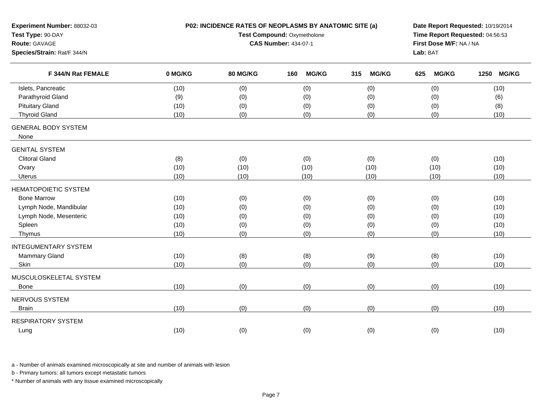| Experiment Number: 88032-03<br>Test Type: 90-DAY<br>Route: GAVAGE<br>Species/Strain: Rat/F 344/N |         | P02: INCIDENCE RATES OF NEOPLASMS BY ANATOMIC SITE (a)<br>Test Compound: Oxymetholone<br><b>CAS Number: 434-07-1</b> | Date Report Requested: 10/19/2014<br>Time Report Requested: 04:56:53<br>First Dose M/F: NA / NA<br>Lab: BAT |                     |                     |                      |
|--------------------------------------------------------------------------------------------------|---------|----------------------------------------------------------------------------------------------------------------------|-------------------------------------------------------------------------------------------------------------|---------------------|---------------------|----------------------|
| F 344/N Rat FEMALE                                                                               | 0 MG/KG | 80 MG/KG                                                                                                             | <b>MG/KG</b><br>160                                                                                         | <b>MG/KG</b><br>315 | <b>MG/KG</b><br>625 | <b>MG/KG</b><br>1250 |
| Islets, Pancreatic                                                                               | (10)    | (0)                                                                                                                  | (0)                                                                                                         | (0)                 | (0)                 | (10)                 |
| Parathyroid Gland                                                                                | (9)     | (0)                                                                                                                  | (0)                                                                                                         | (0)                 | (0)                 | (6)                  |
| <b>Pituitary Gland</b>                                                                           | (10)    | (0)                                                                                                                  | (0)                                                                                                         | (0)                 | (0)                 | (8)                  |
| <b>Thyroid Gland</b>                                                                             | (10)    | (0)                                                                                                                  | (0)                                                                                                         | (0)                 | (0)                 | (10)                 |
| <b>GENERAL BODY SYSTEM</b><br>None                                                               |         |                                                                                                                      |                                                                                                             |                     |                     |                      |
| <b>GENITAL SYSTEM</b>                                                                            |         |                                                                                                                      |                                                                                                             |                     |                     |                      |
| <b>Clitoral Gland</b>                                                                            | (8)     | (0)                                                                                                                  | (0)                                                                                                         | (0)                 | (0)                 | (10)                 |
| Ovary                                                                                            | (10)    | (10)                                                                                                                 | (10)                                                                                                        | (10)                | (10)                | (10)                 |
| Uterus                                                                                           | (10)    | (10)                                                                                                                 | (10)                                                                                                        | (10)                | (10)                | (10)                 |
| <b>HEMATOPOIETIC SYSTEM</b>                                                                      |         |                                                                                                                      |                                                                                                             |                     |                     |                      |
| <b>Bone Marrow</b>                                                                               | (10)    | (0)                                                                                                                  | (0)                                                                                                         | (0)                 | (0)                 | (10)                 |
| Lymph Node, Mandibular                                                                           | (10)    | (0)                                                                                                                  | (0)                                                                                                         | (0)                 | (0)                 | (10)                 |
| Lymph Node, Mesenteric                                                                           | (10)    | (0)                                                                                                                  | (0)                                                                                                         | (0)                 | (0)                 | (10)                 |
| Spleen                                                                                           | (10)    | (0)                                                                                                                  | (0)                                                                                                         | (0)                 | (0)                 | (10)                 |
| Thymus                                                                                           | (10)    | (0)                                                                                                                  | (0)                                                                                                         | (0)                 | (0)                 | (10)                 |
| <b>INTEGUMENTARY SYSTEM</b>                                                                      |         |                                                                                                                      |                                                                                                             |                     |                     |                      |
| Mammary Gland                                                                                    | (10)    | (8)                                                                                                                  | (8)                                                                                                         | (9)                 | (8)                 | (10)                 |
| Skin                                                                                             | (10)    | (0)                                                                                                                  | (0)                                                                                                         | (0)                 | (0)                 | (10)                 |
| MUSCULOSKELETAL SYSTEM                                                                           |         |                                                                                                                      |                                                                                                             |                     |                     |                      |
| Bone                                                                                             | (10)    | (0)                                                                                                                  | (0)                                                                                                         | (0)                 | (0)                 | (10)                 |
| NERVOUS SYSTEM                                                                                   |         |                                                                                                                      |                                                                                                             |                     |                     |                      |
| <b>Brain</b>                                                                                     | (10)    | (0)                                                                                                                  | (0)                                                                                                         | (0)                 | (0)                 | (10)                 |
| <b>RESPIRATORY SYSTEM</b>                                                                        |         |                                                                                                                      |                                                                                                             |                     |                     |                      |
| Lung                                                                                             | (10)    | (0)                                                                                                                  | (0)                                                                                                         | (0)                 | (0)                 | (10)                 |
|                                                                                                  |         |                                                                                                                      |                                                                                                             |                     |                     |                      |

b - Primary tumors: all tumors except metastatic tumors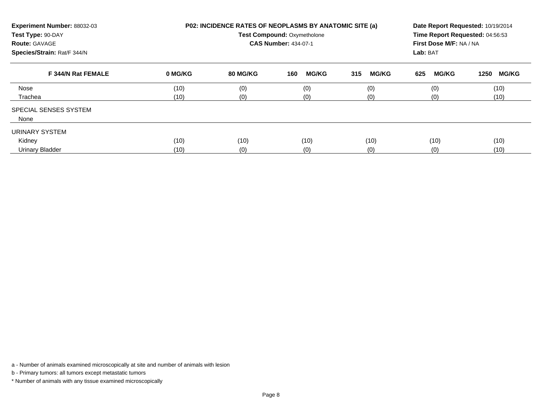| Experiment Number: 88032-03<br>Test Type: 90-DAY<br><b>Route: GAVAGE</b><br>Species/Strain: Rat/F 344/N |         | <b>P02: INCIDENCE RATES OF NEOPLASMS BY ANATOMIC SITE (a)</b><br><b>Test Compound: Oxymetholone</b><br><b>CAS Number: 434-07-1</b> | Date Report Requested: 10/19/2014<br>Time Report Requested: 04:56:53<br>First Dose M/F: NA / NA<br>Lab: BAT |                     |                     |                      |
|---------------------------------------------------------------------------------------------------------|---------|------------------------------------------------------------------------------------------------------------------------------------|-------------------------------------------------------------------------------------------------------------|---------------------|---------------------|----------------------|
| F 344/N Rat FEMALE                                                                                      | 0 MG/KG | 80 MG/KG                                                                                                                           | <b>MG/KG</b><br>160                                                                                         | <b>MG/KG</b><br>315 | <b>MG/KG</b><br>625 | <b>MG/KG</b><br>1250 |
| Nose                                                                                                    | (10)    | (0)                                                                                                                                | (0)                                                                                                         | (0)                 | (0)                 | (10)                 |
| Trachea                                                                                                 | (10)    | (0)                                                                                                                                | (0)                                                                                                         | (0)                 | (0)                 | (10)                 |
| SPECIAL SENSES SYSTEM<br>None                                                                           |         |                                                                                                                                    |                                                                                                             |                     |                     |                      |
| URINARY SYSTEM                                                                                          |         |                                                                                                                                    |                                                                                                             |                     |                     |                      |
| Kidney                                                                                                  | (10)    | (10)                                                                                                                               | (10)                                                                                                        | (10)                | (10)                | (10)                 |
| <b>Urinary Bladder</b>                                                                                  | (10)    | (0)                                                                                                                                | (0)                                                                                                         | (0)                 | (0)                 | (10)                 |

b - Primary tumors: all tumors except metastatic tumors